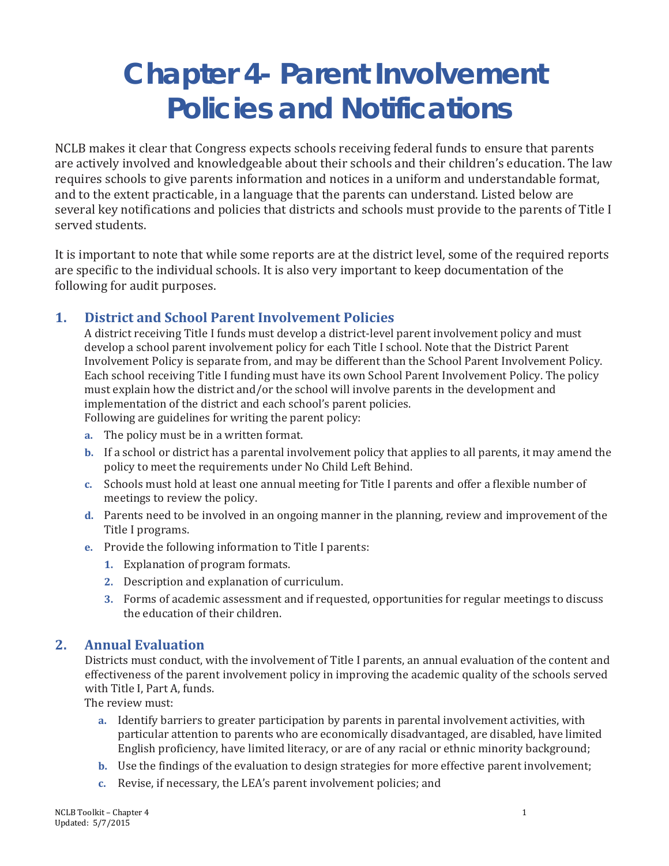# **Chapter 4- Parent Involvement Policies and Notifications**

NCLB makes it clear that Congress expects schools receiving federal funds to ensure that parents are actively involved and knowledgeable about their schools and their children's education. The law requires schools to give parents information and notices in a uniform and understandable format, and to the extent practicable, in a language that the parents can understand. Listed below are several key notifications and policies that districts and schools must provide to the parents of Title I served students.

It is important to note that while some reports are at the district level, some of the required reports are specific to the individual schools. It is also very important to keep documentation of the following for audit purposes.

## **1. District and School Parent Involvement Policies**

A district receiving Title I funds must develop a district-level parent involvement policy and must develop a school parent involvement policy for each Title I school. Note that the District Parent Involvement Policy is separate from, and may be different than the School Parent Involvement Policy. Each school receiving Title I funding must have its own School Parent Involvement Policy. The policy must explain how the district and/or the school will involve parents in the development and implementation of the district and each school's parent policies. Following are guidelines for writing the parent policy:

**a.** The policy must be in a written format.

- **b.** If a school or district has a parental involvement policy that applies to all parents, it may amend the policy to meet the requirements under No Child Left Behind.
- **c.** Schools must hold at least one annual meeting for Title I parents and offer a flexible number of meetings to review the policy.
- **d.** Parents need to be involved in an ongoing manner in the planning, review and improvement of the Title I programs.
- **e.** Provide the following information to Title I parents:
	- **1.** Explanation of program formats.
	- **2.** Description and explanation of curriculum.
	- **3.** Forms of academic assessment and if requested, opportunities for regular meetings to discuss the education of their children.

## **2. Annual Evaluation**

Districts must conduct, with the involvement of Title I parents, an annual evaluation of the content and effectiveness of the parent involvement policy in improving the academic quality of the schools served with Title I, Part A, funds.

The review must:

- **a.** Identify barriers to greater participation by parents in parental involvement activities, with particular attention to parents who are economically disadvantaged, are disabled, have limited English proficiency, have limited literacy, or are of any racial or ethnic minority background;
- **b.** Use the findings of the evaluation to design strategies for more effective parent involvement;
- **c.** Revise, if necessary, the LEA's parent involvement policies; and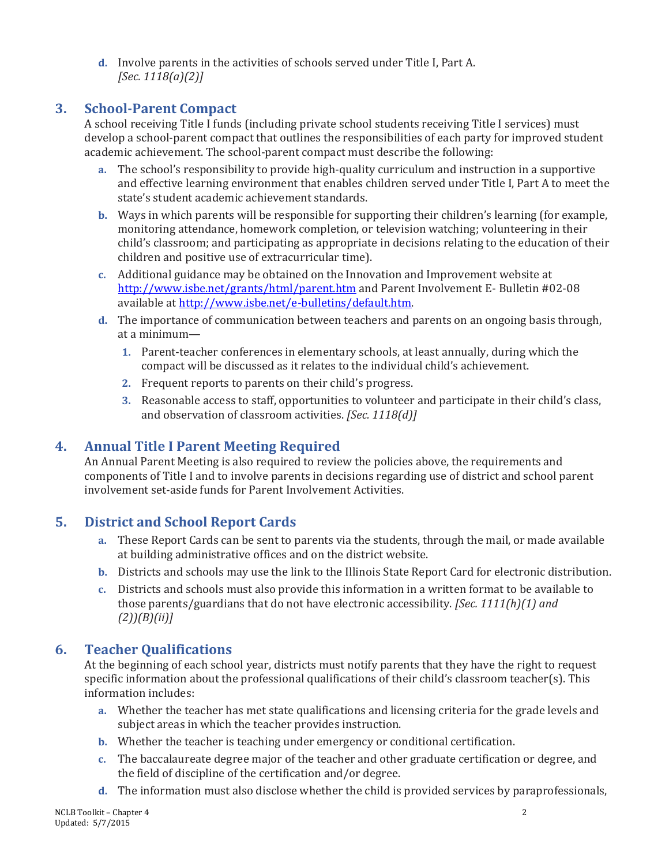**d.** Involve parents in the activities of schools served under Title I, Part A. *[Sec. 1118(a)(2)]* 

## **3. School-Parent Compact**

A school receiving Title I funds (including private school students receiving Title I services) must develop a school-parent compact that outlines the responsibilities of each party for improved student academic achievement. The school-parent compact must describe the following:

- **a.** The school's responsibility to provide high-quality curriculum and instruction in a supportive and effective learning environment that enables children served under Title I, Part A to meet the state's student academic achievement standards.
- **b.** Ways in which parents will be responsible for supporting their children's learning (for example, monitoring attendance, homework completion, or television watching; volunteering in their child's classroom; and participating as appropriate in decisions relating to the education of their children and positive use of extracurricular time).
- **c.** Additional guidance may be obtained on the Innovation and Improvement website at <http://www.isbe.net/grants/html/parent.htm> and Parent Involvement E- Bulletin #02-08 available at [http://www.isbe.net/e-bulletins/default.htm.](http://www.isbe.net/e-bulletins/default.htm)
- **d.** The importance of communication between teachers and parents on an ongoing basis through, at a minimum—
	- **1.** Parent-teacher conferences in elementary schools, at least annually, during which the compact will be discussed as it relates to the individual child's achievement.
	- **2.** Frequent reports to parents on their child's progress.
	- **3.** Reasonable access to staff, opportunities to volunteer and participate in their child's class, and observation of classroom activities. *[Sec. 1118(d)]*

# **4. Annual Title I Parent Meeting Required**

An Annual Parent Meeting is also required to review the policies above, the requirements and components of Title I and to involve parents in decisions regarding use of district and school parent involvement set-aside funds for Parent Involvement Activities.

# **5. District and School Report Cards**

- **a.** These Report Cards can be sent to parents via the students, through the mail, or made available at building administrative offices and on the district website.
- **b.** Districts and schools may use the link to the Illinois State Report Card for electronic distribution.
- **c.** Districts and schools must also provide this information in a written format to be available to those parents/guardians that do not have electronic accessibility. *[Sec. 1111(h)(1) and (2))(B)(ii)]*

## **6. Teacher Qualifications**

At the beginning of each school year, districts must notify parents that they have the right to request specific information about the professional qualifications of their child's classroom teacher(s). This information includes:

- **a.** Whether the teacher has met state qualifications and licensing criteria for the grade levels and subject areas in which the teacher provides instruction.
- **b.** Whether the teacher is teaching under emergency or conditional certification.
- **c.** The baccalaureate degree major of the teacher and other graduate certification or degree, and the field of discipline of the certification and/or degree.
- **d.** The information must also disclose whether the child is provided services by paraprofessionals,

NCLB Toolkit – Chapter 4 2 Updated: 5/7/2015